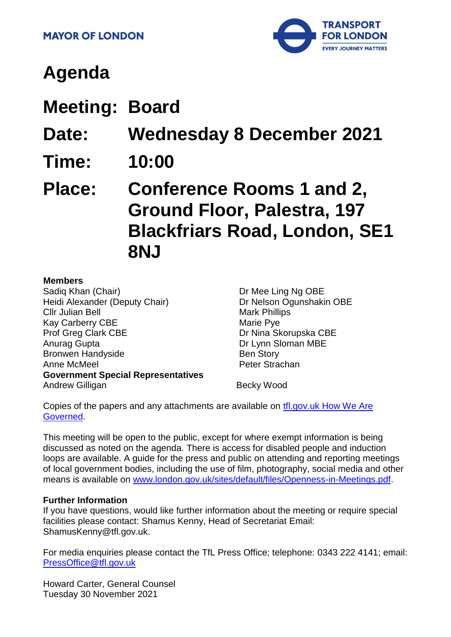

# **Agenda**

**Meeting: Board**

**Date: Wednesday 8 December 2021**

- **Time: 10:00**
- **Place: Conference Rooms 1 and 2, Ground Floor, Palestra, 197 Blackfriars Road, London, SE1 8NJ**

#### **Members**

Sadiq Khan (Chair) Heidi Alexander (Deputy Chair) Cllr Julian Bell Kay Carberry CBE Prof Greg Clark CBE Anurag Gupta Bronwen Handyside Anne McMeel **Government Special Representatives** Andrew Gilligan **Becky Wood** 

Dr Mee Ling Ng OBE Dr Nelson Ogunshakin OBE Mark Phillips Marie Pye Dr Nina Skorupska CBE Dr Lynn Sloman MBE Ben Story Peter Strachan

Copies of the papers and any attachments are available on tfl.gov.uk How We Are [Governed.](http://www.tfl.gov.uk/corporate/about-tfl/how-we-work/how-we-are-governed)

This meeting will be open to the public, except for where exempt information is being discussed as noted on the agenda. There is access for disabled people and induction loops are available. A guide for the press and public on attending and reporting meetings of local government bodies, including the use of film, photography, social media and other means is available on [www.london.gov.uk/sites/default/files/Openness-in-Meetings.pdf.](http://www.london.gov.uk/sites/default/files/Openness-in-Meetings.pdf)

#### **Further Information**

If you have questions, would like further information about the meeting or require special facilities please contact: Shamus Kenny, Head of Secretariat Email: ShamusKenny@tfl.gov.uk.

For media enquiries please contact the TfL Press Office; telephone: 0343 222 4141; email: [PressOffice@tfl.gov.uk](mailto:PressOffice@tfl.gov.uk)

Howard Carter, General Counsel Tuesday 30 November 2021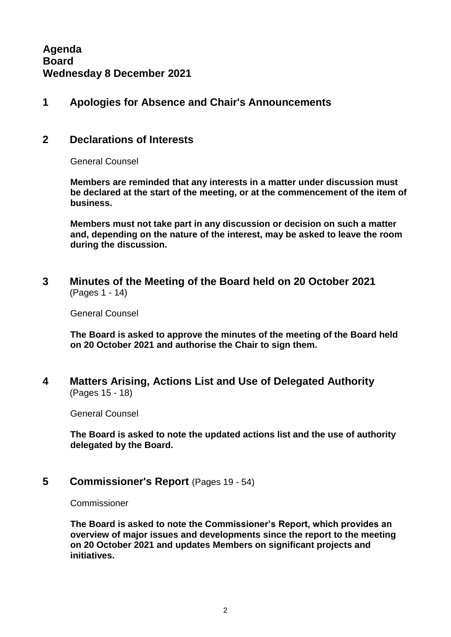#### **1 Apologies for Absence and Chair's Announcements**

#### **2 Declarations of Interests**

General Counsel

**Members are reminded that any interests in a matter under discussion must be declared at the start of the meeting, or at the commencement of the item of business.** 

**Members must not take part in any discussion or decision on such a matter and, depending on the nature of the interest, may be asked to leave the room during the discussion.**

**3 Minutes of the Meeting of the Board held on 20 October 2021** (Pages 1 - 14)

General Counsel

**The Board is asked to approve the minutes of the meeting of the Board held on 20 October 2021 and authorise the Chair to sign them.**

**4 Matters Arising, Actions List and Use of Delegated Authority** (Pages 15 - 18)

General Counsel

**The Board is asked to note the updated actions list and the use of authority delegated by the Board.**

**5 Commissioner's Report** (Pages 19 - 54)

Commissioner

**The Board is asked to note the Commissioner's Report, which provides an overview of major issues and developments since the report to the meeting on 20 October 2021 and updates Members on significant projects and initiatives.**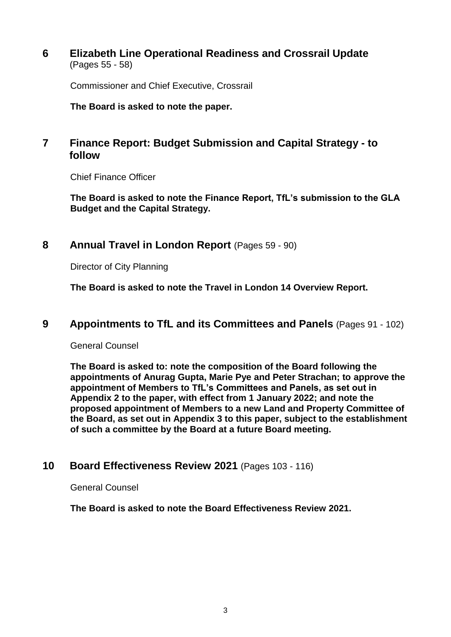**6 Elizabeth Line Operational Readiness and Crossrail Update** (Pages 55 - 58)

Commissioner and Chief Executive, Crossrail

**The Board is asked to note the paper.**

## **7 Finance Report: Budget Submission and Capital Strategy - to follow**

Chief Finance Officer

**The Board is asked to note the Finance Report, TfL's submission to the GLA Budget and the Capital Strategy.**

#### **8 Annual Travel in London Report** (Pages 59 - 90)

Director of City Planning

**The Board is asked to note the Travel in London 14 Overview Report.**

#### **9 Appointments to TfL and its Committees and Panels** (Pages 91 - 102)

General Counsel

**The Board is asked to: note the composition of the Board following the appointments of Anurag Gupta, Marie Pye and Peter Strachan; to approve the appointment of Members to TfL's Committees and Panels, as set out in Appendix 2 to the paper, with effect from 1 January 2022; and note the proposed appointment of Members to a new Land and Property Committee of the Board, as set out in Appendix 3 to this paper, subject to the establishment of such a committee by the Board at a future Board meeting.** 

#### **10 Board Effectiveness Review 2021** (Pages 103 - 116)

General Counsel

**The Board is asked to note the Board Effectiveness Review 2021.**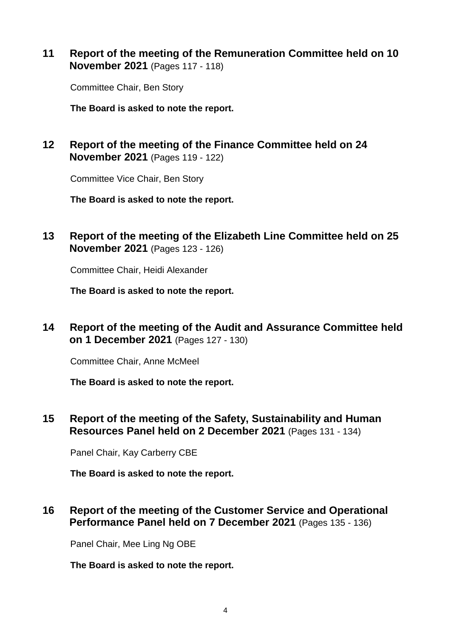#### **11 Report of the meeting of the Remuneration Committee held on 10 November 2021** (Pages 117 - 118)

Committee Chair, Ben Story

**The Board is asked to note the report.** 

## **12 Report of the meeting of the Finance Committee held on 24 November 2021** (Pages 119 - 122)

Committee Vice Chair, Ben Story

**The Board is asked to note the report.**

**13 Report of the meeting of the Elizabeth Line Committee held on 25 November 2021** (Pages 123 - 126)

Committee Chair, Heidi Alexander

**The Board is asked to note the report.**

**14 Report of the meeting of the Audit and Assurance Committee held on 1 December 2021** (Pages 127 - 130)

Committee Chair, Anne McMeel

**The Board is asked to note the report.** 

**15 Report of the meeting of the Safety, Sustainability and Human Resources Panel held on 2 December 2021** (Pages 131 - 134)

Panel Chair, Kay Carberry CBE

**The Board is asked to note the report.**

#### **16 Report of the meeting of the Customer Service and Operational Performance Panel held on 7 December 2021** (Pages 135 - 136)

Panel Chair, Mee Ling Ng OBE

**The Board is asked to note the report.**